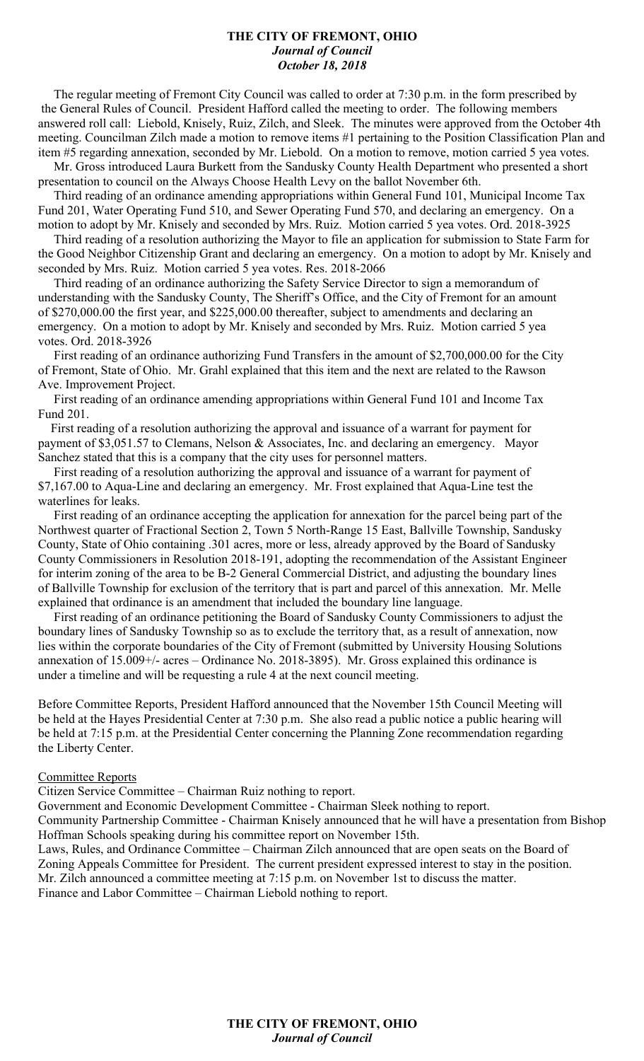#### **THE CITY OF FREMONT, OHIO** *Journal of Council October 18, 2018*

 The regular meeting of Fremont City Council was called to order at 7:30 p.m. in the form prescribed by the General Rules of Council. President Hafford called the meeting to order. The following members answered roll call: Liebold, Knisely, Ruiz, Zilch, and Sleek. The minutes were approved from the October 4th meeting. Councilman Zilch made a motion to remove items #1 pertaining to the Position Classification Plan and item #5 regarding annexation, seconded by Mr. Liebold. On a motion to remove, motion carried 5 yea votes.

 Mr. Gross introduced Laura Burkett from the Sandusky County Health Department who presented a short presentation to council on the Always Choose Health Levy on the ballot November 6th.

 Third reading of an ordinance amending appropriations within General Fund 101, Municipal Income Tax Fund 201, Water Operating Fund 510, and Sewer Operating Fund 570, and declaring an emergency. On a motion to adopt by Mr. Knisely and seconded by Mrs. Ruiz. Motion carried 5 yea votes. Ord. 2018-3925

 Third reading of a resolution authorizing the Mayor to file an application for submission to State Farm for the Good Neighbor Citizenship Grant and declaring an emergency. On a motion to adopt by Mr. Knisely and seconded by Mrs. Ruiz. Motion carried 5 yea votes. Res. 2018-2066

 Third reading of an ordinance authorizing the Safety Service Director to sign a memorandum of understanding with the Sandusky County, The Sheriff's Office, and the City of Fremont for an amount of \$270,000.00 the first year, and \$225,000.00 thereafter, subject to amendments and declaring an emergency. On a motion to adopt by Mr. Knisely and seconded by Mrs. Ruiz. Motion carried 5 yea votes. Ord. 2018-3926

 First reading of an ordinance authorizing Fund Transfers in the amount of \$2,700,000.00 for the City of Fremont, State of Ohio. Mr. Grahl explained that this item and the next are related to the Rawson Ave. Improvement Project.

 First reading of an ordinance amending appropriations within General Fund 101 and Income Tax Fund 201.

 First reading of a resolution authorizing the approval and issuance of a warrant for payment for payment of \$3,051.57 to Clemans, Nelson & Associates, Inc. and declaring an emergency. Mayor Sanchez stated that this is a company that the city uses for personnel matters.

 First reading of a resolution authorizing the approval and issuance of a warrant for payment of \$7,167.00 to Aqua-Line and declaring an emergency. Mr. Frost explained that Aqua-Line test the waterlines for leaks.

 First reading of an ordinance accepting the application for annexation for the parcel being part of the Northwest quarter of Fractional Section 2, Town 5 North-Range 15 East, Ballville Township, Sandusky County, State of Ohio containing .301 acres, more or less, already approved by the Board of Sandusky County Commissioners in Resolution 2018-191, adopting the recommendation of the Assistant Engineer for interim zoning of the area to be B-2 General Commercial District, and adjusting the boundary lines of Ballville Township for exclusion of the territory that is part and parcel of this annexation. Mr. Melle explained that ordinance is an amendment that included the boundary line language.

 First reading of an ordinance petitioning the Board of Sandusky County Commissioners to adjust the boundary lines of Sandusky Township so as to exclude the territory that, as a result of annexation, now lies within the corporate boundaries of the City of Fremont (submitted by University Housing Solutions annexation of 15.009+/- acres – Ordinance No. 2018-3895). Mr. Gross explained this ordinance is under a timeline and will be requesting a rule 4 at the next council meeting.

Before Committee Reports, President Hafford announced that the November 15th Council Meeting will be held at the Hayes Presidential Center at 7:30 p.m. She also read a public notice a public hearing will be held at 7:15 p.m. at the Presidential Center concerning the Planning Zone recommendation regarding the Liberty Center.

#### Committee Reports

Citizen Service Committee – Chairman Ruiz nothing to report.

Government and Economic Development Committee - Chairman Sleek nothing to report.

Community Partnership Committee - Chairman Knisely announced that he will have a presentation from Bishop Hoffman Schools speaking during his committee report on November 15th.

Laws, Rules, and Ordinance Committee – Chairman Zilch announced that are open seats on the Board of Zoning Appeals Committee for President. The current president expressed interest to stay in the position. Mr. Zilch announced a committee meeting at 7:15 p.m. on November 1st to discuss the matter. Finance and Labor Committee – Chairman Liebold nothing to report.